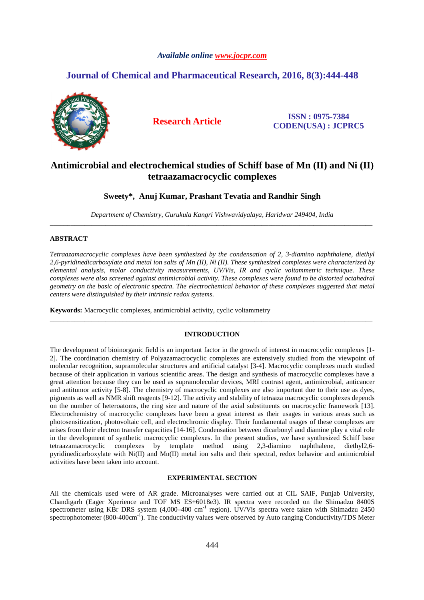# *Available online www.jocpr.com*

# **Journal of Chemical and Pharmaceutical Research, 2016, 8(3):444-448**



**Research Article ISSN : 0975-7384 CODEN(USA) : JCPRC5**

# **Antimicrobial and electrochemical studies of Schiff base of Mn (II) and Ni (II) tetraazamacrocyclic complexes**

# **Sweety\*, Anuj Kumar, Prashant Tevatia and Randhir Singh**

*Department of Chemistry, Gurukula Kangri Vishwavidyalaya, Haridwar 249404, India* \_\_\_\_\_\_\_\_\_\_\_\_\_\_\_\_\_\_\_\_\_\_\_\_\_\_\_\_\_\_\_\_\_\_\_\_\_\_\_\_\_\_\_\_\_\_\_\_\_\_\_\_\_\_\_\_\_\_\_\_\_\_\_\_\_\_\_\_\_\_\_\_\_\_\_\_\_\_\_\_\_\_\_\_\_\_\_\_\_\_\_\_\_

# **ABSTRACT**

*Tetraazamacrocyclic complexes have been synthesized by the condensation of 2, 3-diamino naphthalene, diethyl 2,6-pyridinedicarboxylate and metal ion salts of Mn (II), Ni (II). These synthesized complexes were characterized by elemental analysis, molar conductivity measurements, UV/Vis, IR and cyclic voltammetric technique. These complexes were also screened against antimicrobial activity. These complexes were found to be distorted octahedral geometry on the basic of electronic spectra. The electrochemical behavior of these complexes suggested that metal centers were distinguished by their intrinsic redox systems.* 

**Keywords:** Macrocyclic complexes, antimicrobial activity, cyclic voltammetry

## **INTRODUCTION**

\_\_\_\_\_\_\_\_\_\_\_\_\_\_\_\_\_\_\_\_\_\_\_\_\_\_\_\_\_\_\_\_\_\_\_\_\_\_\_\_\_\_\_\_\_\_\_\_\_\_\_\_\_\_\_\_\_\_\_\_\_\_\_\_\_\_\_\_\_\_\_\_\_\_\_\_\_\_\_\_\_\_\_\_\_\_\_\_\_\_\_\_\_

The development of bioinorganic field is an important factor in the growth of interest in macrocyclic complexes [1- 2]. The coordination chemistry of Polyazamacrocyclic complexes are extensively studied from the viewpoint of molecular recognition, supramolecular structures and artificial catalyst [3-4]. Macrocyclic complexes much studied because of their application in various scientific areas. The design and synthesis of macrocyclic complexes have a great attention because they can be used as supramolecular devices, MRI contrast agent, antimicrobial, anticancer and antitumor activity [5-8]. The chemistry of macrocyclic complexes are also important due to their use as dyes, pigments as well as NMR shift reagents [9-12]. The activity and stability of tetraaza macrocyclic complexes depends on the number of heteroatoms, the ring size and nature of the axial substituents on macrocyclic framework [13]. Electrochemistry of macrocyclic complexes have been a great interest as their usages in various areas such as photosensitization, photovoltaic cell, and electrochromic display. Their fundamental usages of these complexes are arises from their electron transfer capacities [14-16]. Condensation between dicarbonyl and diamine play a vital role in the development of synthetic macrocyclic complexes. In the present studies, we have synthesized Schiff base tetraazamacrocyclic complexes by template method using 2,3-diamino naphthalene, diethyl2,6 pyridinedicarboxylate with Ni(II) and Mn(II) metal ion salts and their spectral, redox behavior and antimicrobial activities have been taken into account.

## **EXPERIMENTAL SECTION**

All the chemicals used were of AR grade. Microanalyses were carried out at CIL SAIF, Punjab University, Chandigarh (Eager Xperience and TOF MS ES+6018e3). IR spectra were recorded on the Shimadzu 8400S spectrometer using KBr DRS system (4,000–400 cm<sup>-1</sup> region). UV/Vis spectra were taken with Shimadzu 2450 spectrophotometer  $(800-400 \text{cm}^{-1})$ . The conductivity values were observed by Auto ranging Conductivity/TDS Meter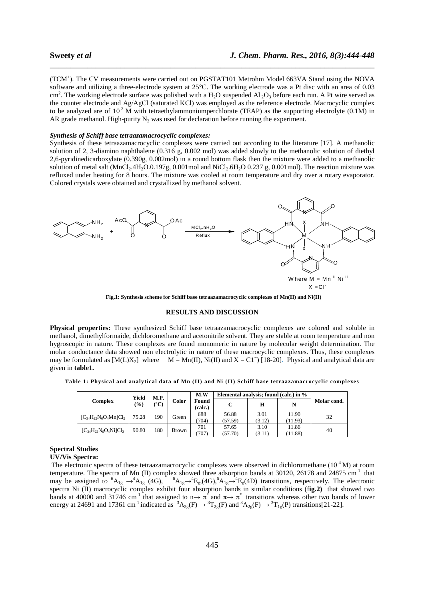(TCM<sup>+</sup>). The CV measurements were carried out on PGSTAT101 Metrohm Model 663VA Stand using the NOVA software and utilizing a three-electrode system at 25°C. The working electrode was a Pt disc with an area of 0.03 cm<sup>2</sup>. The working electrode surface was polished with a H<sub>2</sub>O suspended Al<sub>2</sub>O<sub>3</sub> before each run. A Pt wire served as the counter electrode and Ag/AgCl (saturated KCl) was employed as the reference electrode. Macrocyclic complex to be analyzed are of  $10^{-3}$  M with tetraethylammoniumperchlorate (TEAP) as the supporting electrolyte (0.1M) in AR grade methanol. High-purity  $N_2$  was used for declaration before running the experiment.

\_\_\_\_\_\_\_\_\_\_\_\_\_\_\_\_\_\_\_\_\_\_\_\_\_\_\_\_\_\_\_\_\_\_\_\_\_\_\_\_\_\_\_\_\_\_\_\_\_\_\_\_\_\_\_\_\_\_\_\_\_\_\_\_\_\_\_\_\_\_\_\_\_\_\_\_\_\_

#### *Synthesis of Schiff base tetraazamacrocyclic complexes:*

Synthesis of these tetraazamacrocyclic complexes were carried out according to the literature [17]. A methanolic solution of 2, 3-diamino naphthalene (0.316 g, 0.002 mol) was added slowly to the methanolic solution of diethyl 2,6-pyridinedicarboxylate (0.390g, 0.002mol) in a round bottom flask then the mixture were added to a methanolic solution of metal salt (MnCl<sub>2</sub>.4H<sub>2</sub>O.0.197g, 0.001mol and NiCl<sub>2</sub>.6H<sub>2</sub>O 0.237 g, 0.001mol). The reaction mixture was refluxed under heating for 8 hours. The mixture was cooled at room temperature and dry over a rotary evaporator. Colored crystals were obtained and crystallized by methanol solvent.



 **Fig.1: Synthesis scheme for Schiff base tetraazamacrocyclic complexes of Mn(II) and Ni(II)** 

#### **RESULTS AND DISCUSSION**

**Physical properties:** These synthesized Schiff base tetraazamacrocyclic complexes are colored and soluble in methanol, dimethylformaide, dichloromethane and acetonitrile solvent. They are stable at room temperature and non hygroscopic in nature. These complexes are found monomeric in nature by molecular weight determination. The molar conductance data showed non electrolytic in nature of these macrocyclic complexes. Thus, these complexes may be formulated as  $[M(L)X_2]$  where  $M = Mn(II)$ , Ni(II) and X = C1<sup>-</sup>) [18-20]. Physical and analytical data are given in **table1.** 

**Table 1: Physical and analytical data of Mn (II) and Ni (II) Schiff base tetraazamacrocyclic complexes**

|                              | Yield          | M.P.          |              | M.W              | Elemental analysis; found (calc.) in % |                |                  |             |
|------------------------------|----------------|---------------|--------------|------------------|----------------------------------------|----------------|------------------|-------------|
| Complex                      | $\binom{0}{0}$ | $(^{\circ}C)$ | Color        | Found<br>(calc.) |                                        | Н              | N                | Molar cond. |
| $[C_{34}H_{22}N_6O_4Mn]Cl_2$ | 75.28          | 190           | Green        | 688<br>(704)     | 56.88<br>(57.59)                       | 3.01<br>(3.12) | 11.90<br>(11.93) | 32          |
| $[C_{34}H_{22}N_6O_4Ni]Cl_2$ | 90.80          | 180           | <b>Brown</b> | 701<br>707       | 57.65<br>(57.70)                       | 3.10<br>(3.11) | 11.86<br>(11.88) | 40          |

### **Spectral Studies**

#### **UV/Vis Spectra:**

The electronic spectra of these tetraazamacrocyclic complexes were observed in dichloromethane  $(10^{-4} M)$  at room temperature. The spectra of Mn (II) complex showed three adsorption bands at 30120, 26178 and 24875 cm<sup>-1</sup> that may be assigned to  ${}^{6}A_{1g} \rightarrow {}^{4}A_{1g}$  (4G),  ${}^{6}A_{1g} \rightarrow {}^{4}E_{g}$ ,(4G), ${}^{6}A_{1g} \rightarrow {}^{4}E_{g}$ (4D) transitions, respectively. The electronic spectra Ni (II) macrocyclic complex exhibit four absorption bands in similar conditions (f**ig.2)** that showed two bands at 40000 and 31746 cm<sup>-1</sup> that assigned to n $\rightarrow \pi^*$  and  $\pi \rightarrow \pi^*$  transitions whereas other two bands of lower energy at 24691 and 17361 cm<sup>-1</sup> indicated as  ${}^{3}A_{2g}(F) \rightarrow {}^{3}T_{2g}(F)$  and  ${}^{3}A_{2g}(F) \rightarrow {}^{3}T_{1g}(P)$  transitions[21-22].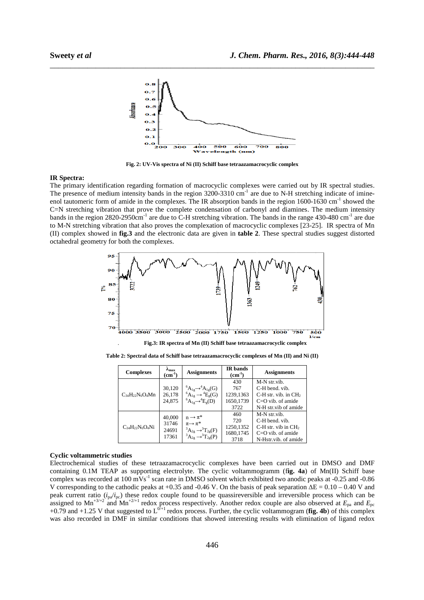

\_\_\_\_\_\_\_\_\_\_\_\_\_\_\_\_\_\_\_\_\_\_\_\_\_\_\_\_\_\_\_\_\_\_\_\_\_\_\_\_\_\_\_\_\_\_\_\_\_\_\_\_\_\_\_\_\_\_\_\_\_\_\_\_\_\_\_\_\_\_\_\_\_\_\_\_\_\_

**Fig. 2: UV-Vis spectra of Ni (II) Schiff base tetraazamacrocyclic complex** 

#### **IR Spectra:**

The primary identification regarding formation of macrocyclic complexes were carried out by IR spectral studies. The presence of medium intensity bands in the region  $3200-3310 \text{ cm}^{-1}$  are due to N-H stretching indicate of imineenol tautomeric form of amide in the complexes. The IR absorption bands in the region 1600-1630 cm<sup>-1</sup> showed the C=N stretching vibration that prove the complete condensation of carbonyl and diamines. The medium intensity bands in the region 2820-2950cm<sup>-1</sup> are due to C-H stretching vibration. The bands in the range 430-480 cm<sup>-1</sup> are due to M-N stretching vibration that also proves the complexation of macrocyclic complexes [23-25]. IR spectra of Mn (II) complex showed in **fig.3** and the electronic data are given in **table 2**. These spectral studies suggest distorted octahedral geometry for both the complexes.



. **Fig.3: IR spectra of Mn (II) Schiff base tetraazamacrocyclic complex**

**Table 2: Spectral data of Schiff base tetraazamacrocyclic complexes of Mn (II) and Ni (II)** 

| <b>Complexes</b>       | $\lambda_{\max}$<br>$(cm-1)$      | <b>Assignments</b>                                                                                                                                 | <b>IR</b> bands<br>$(cm-1)$ | <b>Assignments</b>              |  |
|------------------------|-----------------------------------|----------------------------------------------------------------------------------------------------------------------------------------------------|-----------------------------|---------------------------------|--|
|                        |                                   |                                                                                                                                                    | 430                         | M-N str.vib.                    |  |
| $C_{34}H_{22}N_6O_4Mn$ | 30,120                            | ${}^6A_{1g} \rightarrow {}^4A_{1g}(G)$                                                                                                             | 767                         | C-H bend. vib.                  |  |
|                        | 26,178                            | ${}^6A_{1g} \rightarrow {}^4E_g(G)$                                                                                                                | 1239,1363                   | $C-H$ str. vib. in $CH2$        |  |
|                        | 24.875                            | ${}^6A_{1\sigma} \rightarrow {}^4E_{\sigma}(D)$                                                                                                    | 1650,1739                   | $C=O$ vib. of amide             |  |
|                        |                                   |                                                                                                                                                    | 3722                        | N-H str.vib of amide            |  |
| $C_{34}H_{22}N_6O_4Ni$ | 40,000<br>31746<br>24691<br>17361 |                                                                                                                                                    | 460                         | M-N str.vib.                    |  |
|                        |                                   | $n \rightarrow \pi^*$                                                                                                                              | 720                         | C-H bend. vib.                  |  |
|                        |                                   | $\pi \rightarrow \pi^*$<br>$\begin{array}{c}\n ^{3}A_{2g} \longrightarrow ^{3}T_{2g}(F) \\ ^{3}A_{2g} \longrightarrow ^{3}T_{2g}(P)\n \end{array}$ | 1250,1352                   | C-H str. vib in CH <sub>2</sub> |  |
|                        |                                   |                                                                                                                                                    | 1680, 1745                  | $C=O$ vib. of amide             |  |
|                        |                                   |                                                                                                                                                    | 3718                        | N-Hstr.vib. of amide            |  |

#### **Cyclic voltammetric studies**

Electrochemical studies of these tetraazamacrocyclic complexes have been carried out in DMSO and DMF containing 0.1M TEAP as supporting electrolyte. The cyclic voltammogramm (f**ig. 4a**) of Mn(II) Schiff base complex was recorded at 100 mVs<sup>-1</sup> scan rate in DMSO solvent which exhibited two anodic peaks at -0.25 and -0.86 V corresponding to the cathodic peaks at +0.35 and -0.46 V. On the basis of peak separation ∆E = 0.10 – 0.40 V and peak current ratio (*i*pa/*i*pc) these redox couple found to be quassireversible and irreversible process which can be assigned to Mn<sup>+3/+2</sup> and Mn<sup>+2/+1</sup> redox process respectively. Another redox couple are also observed at  $E_{pa}$  and  $E_{nc}$ +0.79 and +1.25 V that suggested to  $L^{0+1}$  redox process. Further, the cyclic voltammogram (fig. 4b) of this complex was also recorded in DMF in similar conditions that showed interesting results with elimination of ligand redox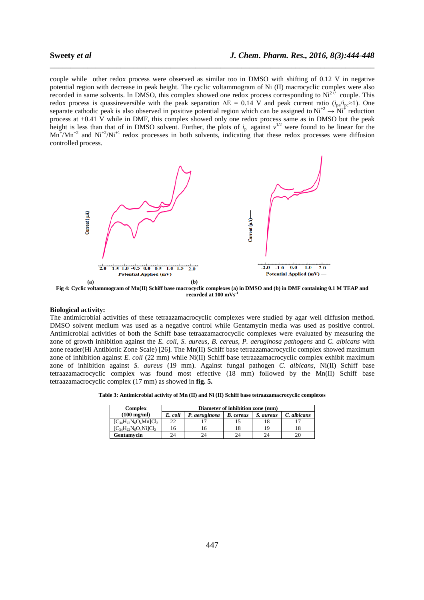couple while other redox process were observed as similar too in DMSO with shifting of 0.12 V in negative potential region with decrease in peak height. The cyclic voltammogram of Ni (II) macrocyclic complex were also recorded in same solvents. In DMSO, this complex showed one redox process corresponding to  $Ni^{2+i+}$  couple. This redox process is quassireversible with the peak separation ∆E = 0.14 V and peak current ratio (*i*pa/*i*pc≈1). One separate cathodic peak is also observed in positive potential region which can be assigned to  $Ni^{+2} \rightarrow Ni^{+}$  reduction process at +0.41 V while in DMF, this complex showed only one redox process same as in DMSO but the peak height is less than that of in DMSO solvent. Further, the plots of  $i_p$  against  $v^{1/2}$  were found to be linear for the  $Mn^+/Mn^{+2}$  and  $Ni^{+2}/Ni^{+1}$  redox processes in both solvents, indicating that these redox processes were diffusion controlled process.

\_\_\_\_\_\_\_\_\_\_\_\_\_\_\_\_\_\_\_\_\_\_\_\_\_\_\_\_\_\_\_\_\_\_\_\_\_\_\_\_\_\_\_\_\_\_\_\_\_\_\_\_\_\_\_\_\_\_\_\_\_\_\_\_\_\_\_\_\_\_\_\_\_\_\_\_\_\_



**Fig 4: Cyclic voltammogram of Mn(II) Schiff base macrocyclic complexes (a) in DMSO and (b) in DMF containing 0.1 M TEAP and recorded at 100 mVs-1**

#### **Biological activity:**

The antimicrobial activities of these tetraazamacrocyclic complexes were studied by agar well diffusion method. DMSO solvent medium was used as a negative control while Gentamycin media was used as positive control. Antimicrobial activities of both the Schiff base tetraazamacrocyclic complexes were evaluated by measuring the zone of growth inhibition against the *E. coli*, *S. aureus, B. cereus, P. aeruginosa pathogens* and *C. albicans* with zone reader(Hi Antibiotic Zone Scale) [26]. The Mn(II) Schiff base tetraazamacrocyclic complex showed maximum zone of inhibition against *E. coli* (22 mm) while Ni(II) Schiff base tetraazamacrocyclic complex exhibit maximum zone of inhibition against *S. aureus* (19 mm). Against fungal pathogen *C. albicans*, Ni(II) Schiff base tetraazamacrocyclic complex was found most effective (18 mm) followed by the Mn(II) Schiff base tetraazamacrocyclic complex (17 mm) as showed in **fig. 5.** 

**Table 3: Antimicrobial activity of Mn (II) and Ni (II) Schiff base tetraazamacrocyclic complexes** 

| <b>Complex</b>               | Diameter of inhibition zone (mm) |               |                  |           |             |  |  |  |
|------------------------------|----------------------------------|---------------|------------------|-----------|-------------|--|--|--|
| $(100 \text{ mg/ml})$        | E. coli                          | P. aeruginosa | <b>B.</b> cereus | S. aureus | C. albicans |  |  |  |
| $[C_{34}H_{22}N_6O_4Mn]Cl_2$ |                                  |               |                  |           |             |  |  |  |
| $[C_{34}H_{22}N_6O_4Ni]Cl_2$ |                                  |               |                  |           |             |  |  |  |
| Gentamvcin                   | 24                               |               |                  | 24        |             |  |  |  |